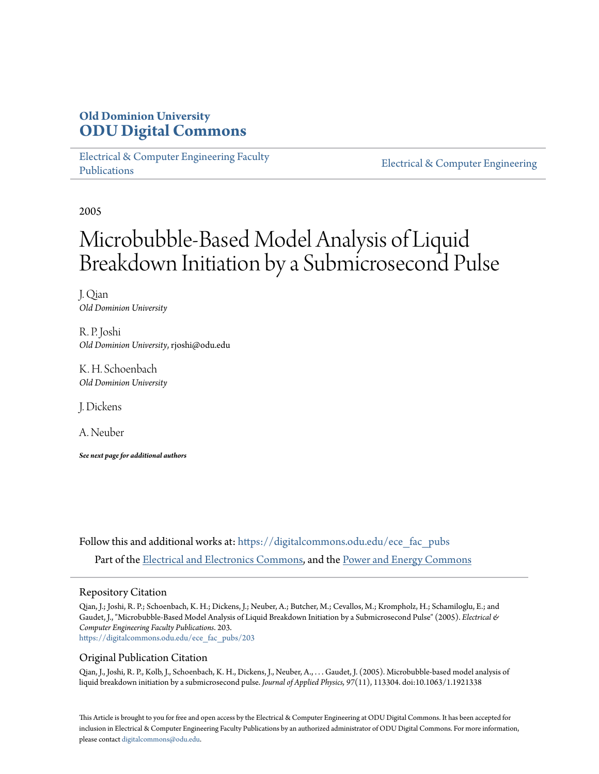## **Old Dominion University [ODU Digital Commons](https://digitalcommons.odu.edu?utm_source=digitalcommons.odu.edu%2Fece_fac_pubs%2F203&utm_medium=PDF&utm_campaign=PDFCoverPages)**

[Electrical & Computer Engineering Faculty](https://digitalcommons.odu.edu/ece_fac_pubs?utm_source=digitalcommons.odu.edu%2Fece_fac_pubs%2F203&utm_medium=PDF&utm_campaign=PDFCoverPages) [Publications](https://digitalcommons.odu.edu/ece_fac_pubs?utm_source=digitalcommons.odu.edu%2Fece_fac_pubs%2F203&utm_medium=PDF&utm_campaign=PDFCoverPages)

[Electrical & Computer Engineering](https://digitalcommons.odu.edu/ece?utm_source=digitalcommons.odu.edu%2Fece_fac_pubs%2F203&utm_medium=PDF&utm_campaign=PDFCoverPages)

2005

# Microbubble-Based Model Analysis of Liquid Breakdown Initiation by a Submicrosecond Pulse

J. Qian *Old Dominion University*

R. P. Joshi *Old Dominion University*, rjoshi@odu.edu

K. H. Schoenbach *Old Dominion University*

J. Dickens

A. Neuber

*See next page for additional authors*

Follow this and additional works at: [https://digitalcommons.odu.edu/ece\\_fac\\_pubs](https://digitalcommons.odu.edu/ece_fac_pubs?utm_source=digitalcommons.odu.edu%2Fece_fac_pubs%2F203&utm_medium=PDF&utm_campaign=PDFCoverPages) Part of the [Electrical and Electronics Commons,](http://network.bepress.com/hgg/discipline/270?utm_source=digitalcommons.odu.edu%2Fece_fac_pubs%2F203&utm_medium=PDF&utm_campaign=PDFCoverPages) and the [Power and Energy Commons](http://network.bepress.com/hgg/discipline/274?utm_source=digitalcommons.odu.edu%2Fece_fac_pubs%2F203&utm_medium=PDF&utm_campaign=PDFCoverPages)

#### Repository Citation

Qian, J.; Joshi, R. P.; Schoenbach, K. H.; Dickens, J.; Neuber, A.; Butcher, M.; Cevallos, M.; Krompholz, H.; Schamiloglu, E.; and Gaudet, J., "Microbubble-Based Model Analysis of Liquid Breakdown Initiation by a Submicrosecond Pulse" (2005). *Electrical & Computer Engineering Faculty Publications*. 203. [https://digitalcommons.odu.edu/ece\\_fac\\_pubs/203](https://digitalcommons.odu.edu/ece_fac_pubs/203?utm_source=digitalcommons.odu.edu%2Fece_fac_pubs%2F203&utm_medium=PDF&utm_campaign=PDFCoverPages)

#### Original Publication Citation

Qian, J., Joshi, R. P., Kolb, J., Schoenbach, K. H., Dickens, J., Neuber, A., . . . Gaudet, J. (2005). Microbubble-based model analysis of liquid breakdown initiation by a submicrosecond pulse. *Journal of Applied Physics, 97*(11), 113304. doi:10.1063/1.1921338

This Article is brought to you for free and open access by the Electrical & Computer Engineering at ODU Digital Commons. It has been accepted for inclusion in Electrical & Computer Engineering Faculty Publications by an authorized administrator of ODU Digital Commons. For more information, please contact [digitalcommons@odu.edu](mailto:digitalcommons@odu.edu).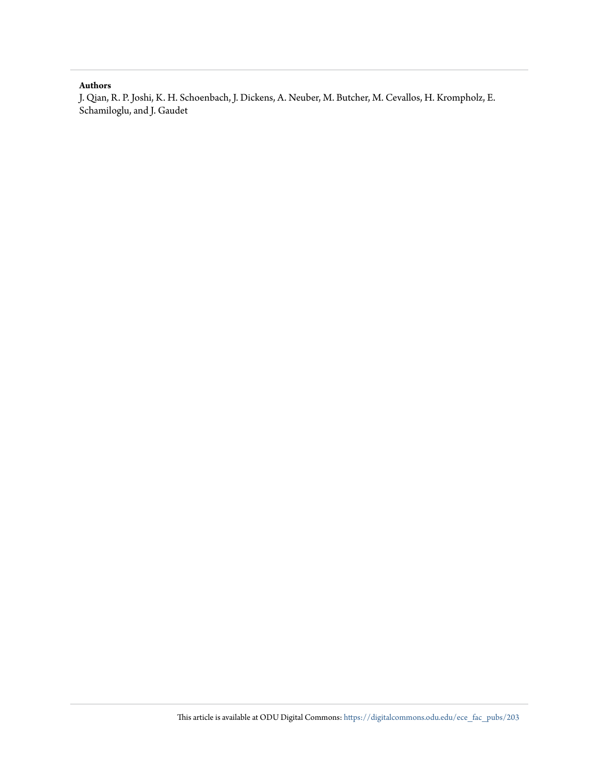#### **Authors**

J. Qian, R. P. Joshi, K. H. Schoenbach, J. Dickens, A. Neuber, M. Butcher, M. Cevallos, H. Krompholz, E. Schamiloglu, and J. Gaudet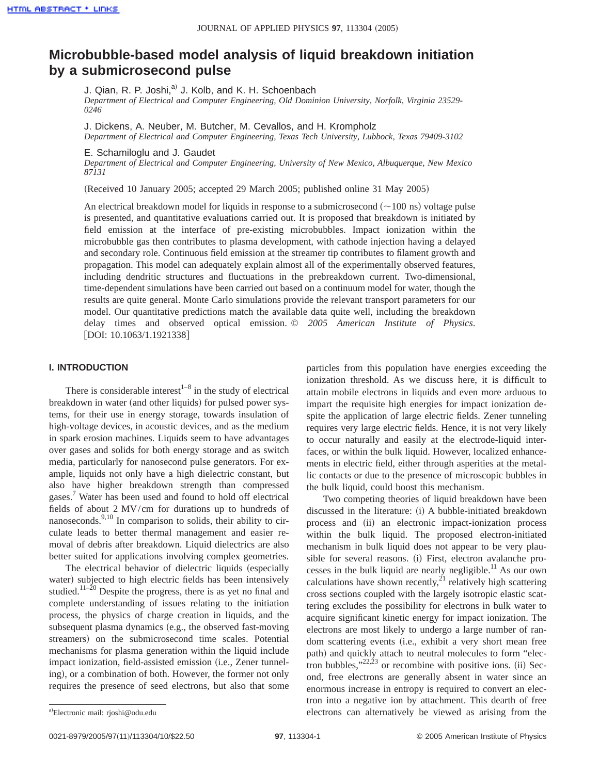### **Microbubble-based model analysis of liquid breakdown initiation by a submicrosecond pulse**

J. Qian, R. P. Joshi, $^{ab}$  J. Kolb, and K. H. Schoenbach

*Department of Electrical and Computer Engineering, Old Dominion University, Norfolk, Virginia 23529- 0246*

J. Dickens, A. Neuber, M. Butcher, M. Cevallos, and H. Krompholz

*Department of Electrical and Computer Engineering, Texas Tech University, Lubbock, Texas 79409-3102*

E. Schamiloglu and J. Gaudet

*Department of Electrical and Computer Engineering, University of New Mexico, Albuquerque, New Mexico 87131*

(Received 10 January 2005; accepted 29 March 2005; published online 31 May 2005)

An electrical breakdown model for liquids in response to a submicrosecond  $(\sim 100 \text{ ns})$  voltage pulse is presented, and quantitative evaluations carried out. It is proposed that breakdown is initiated by field emission at the interface of pre-existing microbubbles. Impact ionization within the microbubble gas then contributes to plasma development, with cathode injection having a delayed and secondary role. Continuous field emission at the streamer tip contributes to filament growth and propagation. This model can adequately explain almost all of the experimentally observed features, including dendritic structures and fluctuations in the prebreakdown current. Two-dimensional, time-dependent simulations have been carried out based on a continuum model for water, though the results are quite general. Monte Carlo simulations provide the relevant transport parameters for our model. Our quantitative predictions match the available data quite well, including the breakdown delay times and observed optical emission. © *2005 American Institute of Physics*.  $[DOI: 10.1063/1.1921338]$ 

#### **I. INTRODUCTION**

There is considerable interest<sup> $1-8$ </sup> in the study of electrical breakdown in water (and other liquids) for pulsed power systems, for their use in energy storage, towards insulation of high-voltage devices, in acoustic devices, and as the medium in spark erosion machines. Liquids seem to have advantages over gases and solids for both energy storage and as switch media, particularly for nanosecond pulse generators. For example, liquids not only have a high dielectric constant, but also have higher breakdown strength than compressed gases. <sup>7</sup> Water has been used and found to hold off electrical fields of about 2 MV/cm for durations up to hundreds of nanoseconds.<sup>9,10</sup> In comparison to solids, their ability to circulate leads to better thermal management and easier removal of debris after breakdown. Liquid dielectrics are also better suited for applications involving complex geometries.

The electrical behavior of dielectric liquids (especially water) subjected to high electric fields has been intensively studied.<sup>11–20</sup> Despite the progress, there is as yet no final and complete understanding of issues relating to the initiation process, the physics of charge creation in liquids, and the subsequent plasma dynamics (e.g., the observed fast-moving streamers) on the submicrosecond time scales. Potential mechanisms for plasma generation within the liquid include impact ionization, field-assisted emission (i.e., Zener tunneling), or a combination of both. However, the former not only requires the presence of seed electrons, but also that some

particles from this population have energies exceeding the ionization threshold. As we discuss here, it is difficult to attain mobile electrons in liquids and even more arduous to impart the requisite high energies for impact ionization despite the application of large electric fields. Zener tunneling requires very large electric fields. Hence, it is not very likely to occur naturally and easily at the electrode-liquid interfaces, or within the bulk liquid. However, localized enhancements in electric field, either through asperities at the metallic contacts or due to the presence of microscopic bubbles in the bulk liquid, could boost this mechanism.

Two competing theories of liquid breakdown have been discussed in the literature: (i) A bubble-initiated breakdown process and (ii) an electronic impact-ionization process within the bulk liquid. The proposed electron-initiated mechanism in bulk liquid does not appear to be very plausible for several reasons. (i) First, electron avalanche processes in the bulk liquid are nearly negligible.<sup>11</sup> As our own calculations have shown recently,<sup>21</sup> relatively high scattering cross sections coupled with the largely isotropic elastic scattering excludes the possibility for electrons in bulk water to acquire significant kinetic energy for impact ionization. The electrons are most likely to undergo a large number of random scattering events (i.e., exhibit a very short mean free path) and quickly attach to neutral molecules to form "electron bubbles," $22,23$  or recombine with positive ions. (ii) Second, free electrons are generally absent in water since an enormous increase in entropy is required to convert an electron into a negative ion by attachment. This dearth of free electrons can alternatively be viewed as arising from the

Electronic mail: rjoshi@odu.edu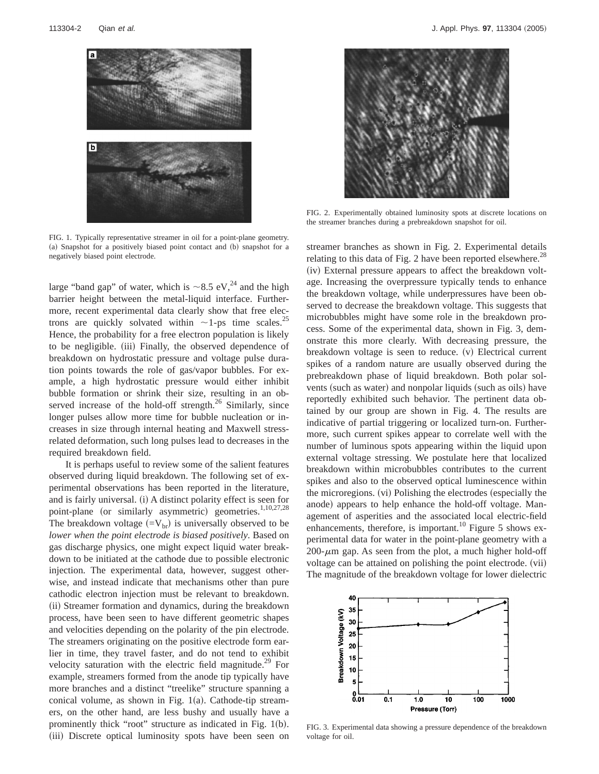

FIG. 1. Typically representative streamer in oil for a point-plane geometry. (a) Snapshot for a positively biased point contact and (b) snapshot for a negatively biased point electrode.

large "band gap" of water, which is  $\sim$ 8.5 eV,<sup>24</sup> and the high barrier height between the metal-liquid interface. Furthermore, recent experimental data clearly show that free electrons are quickly solvated within  $\sim$ 1-ps time scales.<sup>25</sup> Hence, the probability for a free electron population is likely to be negligible. (iii) Finally, the observed dependence of breakdown on hydrostatic pressure and voltage pulse duration points towards the role of gas/vapor bubbles. For example, a high hydrostatic pressure would either inhibit bubble formation or shrink their size, resulting in an observed increase of the hold-off strength.<sup>26</sup> Similarly, since longer pulses allow more time for bubble nucleation or increases in size through internal heating and Maxwell stressrelated deformation, such long pulses lead to decreases in the required breakdown field.

It is perhaps useful to review some of the salient features observed during liquid breakdown. The following set of experimental observations has been reported in the literature, and is fairly universal. (i) A distinct polarity effect is seen for point-plane (or similarly asymmetric) geometries.<sup>1,10,27,28</sup> The breakdown voltage  $(=V_{\rm br})$  is universally observed to be *lower when the point electrode is biased positively*. Based on gas discharge physics, one might expect liquid water breakdown to be initiated at the cathode due to possible electronic injection. The experimental data, however, suggest otherwise, and instead indicate that mechanisms other than pure cathodic electron injection must be relevant to breakdown. (ii) Streamer formation and dynamics, during the breakdown process, have been seen to have different geometric shapes and velocities depending on the polarity of the pin electrode. The streamers originating on the positive electrode form earlier in time, they travel faster, and do not tend to exhibit velocity saturation with the electric field magnitude.<sup>29</sup> For example, streamers formed from the anode tip typically have more branches and a distinct "treelike" structure spanning a conical volume, as shown in Fig.  $1(a)$ . Cathode-tip streamers, on the other hand, are less bushy and usually have a prominently thick "root" structure as indicated in Fig.  $1(b)$ . (iii) Discrete optical luminosity spots have been seen on



FIG. 2. Experimentally obtained luminosity spots at discrete locations on the streamer branches during a prebreakdown snapshot for oil.

streamer branches as shown in Fig. 2. Experimental details relating to this data of Fig. 2 have been reported elsewhere.<sup>28</sup>  $(iv)$  External pressure appears to affect the breakdown voltage. Increasing the overpressure typically tends to enhance the breakdown voltage, while underpressures have been observed to decrease the breakdown voltage. This suggests that microbubbles might have some role in the breakdown process. Some of the experimental data, shown in Fig. 3, demonstrate this more clearly. With decreasing pressure, the breakdown voltage is seen to reduce.  $(v)$  Electrical current spikes of a random nature are usually observed during the prebreakdown phase of liquid breakdown. Both polar solvents (such as water) and nonpolar liquids (such as oils) have reportedly exhibited such behavior. The pertinent data obtained by our group are shown in Fig. 4. The results are indicative of partial triggering or localized turn-on. Furthermore, such current spikes appear to correlate well with the number of luminous spots appearing within the liquid upon external voltage stressing. We postulate here that localized breakdown within microbubbles contributes to the current spikes and also to the observed optical luminescence within the microregions. (vi) Polishing the electrodes (especially the anode) appears to help enhance the hold-off voltage. Management of asperities and the associated local electric-field enhancements, therefore, is important.<sup>10</sup> Figure 5 shows experimental data for water in the point-plane geometry with a  $200-\mu m$  gap. As seen from the plot, a much higher hold-off voltage can be attained on polishing the point electrode. (vii) The magnitude of the breakdown voltage for lower dielectric



FIG. 3. Experimental data showing a pressure dependence of the breakdown voltage for oil.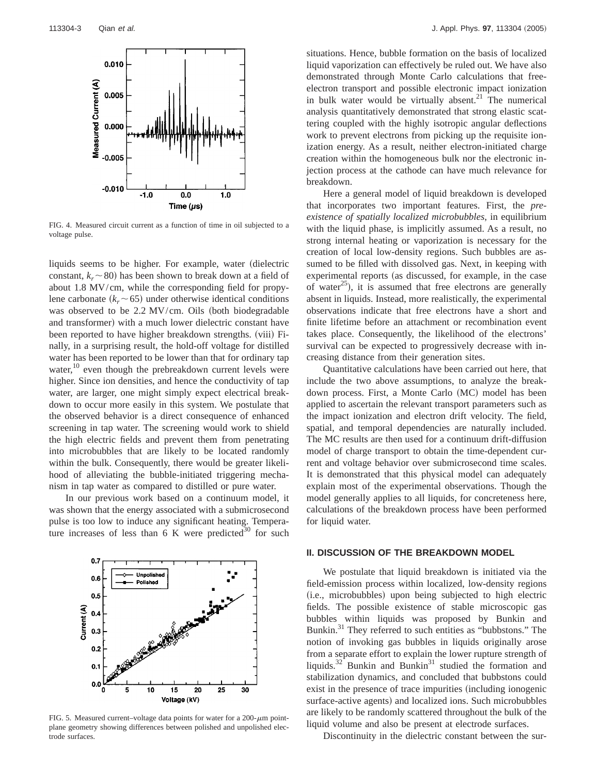

FIG. 4. Measured circuit current as a function of time in oil subjected to a voltage pulse.

liquids seems to be higher. For example, water (dielectric constant,  $k \sim 80$ ) has been shown to break down at a field of about 1.8 MV/cm, while the corresponding field for propylene carbonate  $(k_r \sim 65)$  under otherwise identical conditions was observed to be  $2.2 \text{ MV/cm}$ . Oils (both biodegradable and transformer) with a much lower dielectric constant have been reported to have higher breakdown strengths. (viii) Finally, in a surprising result, the hold-off voltage for distilled water has been reported to be lower than that for ordinary tap water,<sup>10</sup> even though the prebreakdown current levels were higher. Since ion densities, and hence the conductivity of tap water, are larger, one might simply expect electrical breakdown to occur more easily in this system. We postulate that the observed behavior is a direct consequence of enhanced screening in tap water. The screening would work to shield the high electric fields and prevent them from penetrating into microbubbles that are likely to be located randomly within the bulk. Consequently, there would be greater likelihood of alleviating the bubble-initiated triggering mechanism in tap water as compared to distilled or pure water.

In our previous work based on a continuum model, it was shown that the energy associated with a submicrosecond pulse is too low to induce any significant heating. Temperature increases of less than 6 K were predicted<sup>30</sup> for such



FIG. 5. Measured current–voltage data points for water for a  $200$ - $\mu$ m pointplane geometry showing differences between polished and unpolished electrode surfaces.

situations. Hence, bubble formation on the basis of localized liquid vaporization can effectively be ruled out. We have also demonstrated through Monte Carlo calculations that freeelectron transport and possible electronic impact ionization in bulk water would be virtually absent.<sup>21</sup> The numerical analysis quantitatively demonstrated that strong elastic scattering coupled with the highly isotropic angular deflections work to prevent electrons from picking up the requisite ionization energy. As a result, neither electron-initiated charge creation within the homogeneous bulk nor the electronic injection process at the cathode can have much relevance for breakdown.

Here a general model of liquid breakdown is developed that incorporates two important features. First, the *preexistence of spatially localized microbubbles*, in equilibrium with the liquid phase, is implicitly assumed. As a result, no strong internal heating or vaporization is necessary for the creation of local low-density regions. Such bubbles are assumed to be filled with dissolved gas. Next, in keeping with experimental reports (as discussed, for example, in the case of water<sup>25</sup>), it is assumed that free electrons are generally absent in liquids. Instead, more realistically, the experimental observations indicate that free electrons have a short and finite lifetime before an attachment or recombination event takes place. Consequently, the likelihood of the electrons' survival can be expected to progressively decrease with increasing distance from their generation sites.

Quantitative calculations have been carried out here, that include the two above assumptions, to analyze the breakdown process. First, a Monte Carlo (MC) model has been applied to ascertain the relevant transport parameters such as the impact ionization and electron drift velocity. The field, spatial, and temporal dependencies are naturally included. The MC results are then used for a continuum drift-diffusion model of charge transport to obtain the time-dependent current and voltage behavior over submicrosecond time scales. It is demonstrated that this physical model can adequately explain most of the experimental observations. Though the model generally applies to all liquids, for concreteness here, calculations of the breakdown process have been performed for liquid water.

#### **II. DISCUSSION OF THE BREAKDOWN MODEL**

We postulate that liquid breakdown is initiated via the field-emission process within localized, low-density regions (i.e., microbubbles) upon being subjected to high electric fields. The possible existence of stable microscopic gas bubbles within liquids was proposed by Bunkin and Bunkin.<sup>31</sup> They referred to such entities as "bubbstons." The notion of invoking gas bubbles in liquids originally arose from a separate effort to explain the lower rupture strength of liquids. $32^{2}$  Bunkin and Bunkin<sup>31</sup> studied the formation and stabilization dynamics, and concluded that bubbstons could exist in the presence of trace impurities (including ionogenic surface-active agents) and localized ions. Such microbubbles are likely to be randomly scattered throughout the bulk of the liquid volume and also be present at electrode surfaces.

Discontinuity in the dielectric constant between the sur-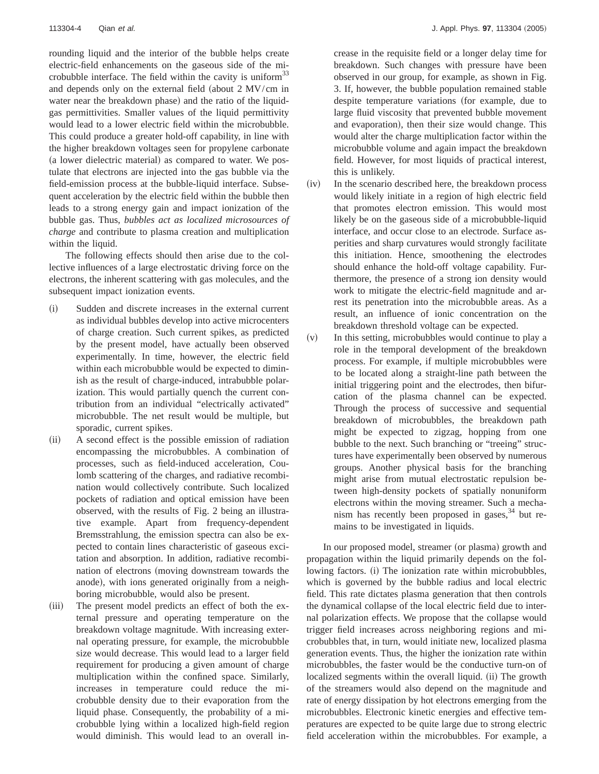rounding liquid and the interior of the bubble helps create electric-field enhancements on the gaseous side of the microbubble interface. The field within the cavity is uniform $33$ and depends only on the external field (about  $2 \text{ MV/cm}$  in water near the breakdown phase) and the ratio of the liquidgas permittivities. Smaller values of the liquid permittivity would lead to a lower electric field within the microbubble. This could produce a greater hold-off capability, in line with the higher breakdown voltages seen for propylene carbonate (a lower dielectric material) as compared to water. We postulate that electrons are injected into the gas bubble via the field-emission process at the bubble-liquid interface. Subsequent acceleration by the electric field within the bubble then leads to a strong energy gain and impact ionization of the bubble gas. Thus, *bubbles act as localized microsources of charge* and contribute to plasma creation and multiplication within the liquid.

The following effects should then arise due to the collective influences of a large electrostatic driving force on the electrons, the inherent scattering with gas molecules, and the subsequent impact ionization events.

- (i) Sudden and discrete increases in the external current as individual bubbles develop into active microcenters of charge creation. Such current spikes, as predicted by the present model, have actually been observed experimentally. In time, however, the electric field within each microbubble would be expected to diminish as the result of charge-induced, intrabubble polarization. This would partially quench the current contribution from an individual "electrically activated" microbubble. The net result would be multiple, but sporadic, current spikes.
- (ii) A second effect is the possible emission of radiation encompassing the microbubbles. A combination of processes, such as field-induced acceleration, Coulomb scattering of the charges, and radiative recombination would collectively contribute. Such localized pockets of radiation and optical emission have been observed, with the results of Fig. 2 being an illustrative example. Apart from frequency-dependent Bremsstrahlung, the emission spectra can also be expected to contain lines characteristic of gaseous excitation and absorption. In addition, radiative recombination of electrons (moving downstream towards the anode), with ions generated originally from a neighboring microbubble, would also be present.
- (iii) The present model predicts an effect of both the external pressure and operating temperature on the breakdown voltage magnitude. With increasing external operating pressure, for example, the microbubble size would decrease. This would lead to a larger field requirement for producing a given amount of charge multiplication within the confined space. Similarly, increases in temperature could reduce the microbubble density due to their evaporation from the liquid phase. Consequently, the probability of a microbubble lying within a localized high-field region would diminish. This would lead to an overall in-

crease in the requisite field or a longer delay time for breakdown. Such changes with pressure have been observed in our group, for example, as shown in Fig. 3. If, however, the bubble population remained stable despite temperature variations (for example, due to large fluid viscosity that prevented bubble movement and evaporation), then their size would change. This would alter the charge multiplication factor within the microbubble volume and again impact the breakdown field. However, for most liquids of practical interest, this is unlikely.

- $(iv)$  In the scenario described here, the breakdown process would likely initiate in a region of high electric field that promotes electron emission. This would most likely be on the gaseous side of a microbubble-liquid interface, and occur close to an electrode. Surface asperities and sharp curvatures would strongly facilitate this initiation. Hence, smoothening the electrodes should enhance the hold-off voltage capability. Furthermore, the presence of a strong ion density would work to mitigate the electric-field magnitude and arrest its penetration into the microbubble areas. As a result, an influence of ionic concentration on the breakdown threshold voltage can be expected.
- $(v)$  In this setting, microbubbles would continue to play a role in the temporal development of the breakdown process. For example, if multiple microbubbles were to be located along a straight-line path between the initial triggering point and the electrodes, then bifurcation of the plasma channel can be expected. Through the process of successive and sequential breakdown of microbubbles, the breakdown path might be expected to zigzag, hopping from one bubble to the next. Such branching or "treeing" structures have experimentally been observed by numerous groups. Another physical basis for the branching might arise from mutual electrostatic repulsion between high-density pockets of spatially nonuniform electrons within the moving streamer. Such a mechanism has recently been proposed in gases,  $34$  but remains to be investigated in liquids.

In our proposed model, streamer (or plasma) growth and propagation within the liquid primarily depends on the following factors. (i) The ionization rate within microbubbles, which is governed by the bubble radius and local electric field. This rate dictates plasma generation that then controls the dynamical collapse of the local electric field due to internal polarization effects. We propose that the collapse would trigger field increases across neighboring regions and microbubbles that, in turn, would initiate new, localized plasma generation events. Thus, the higher the ionization rate within microbubbles, the faster would be the conductive turn-on of localized segments within the overall liquid. (ii) The growth of the streamers would also depend on the magnitude and rate of energy dissipation by hot electrons emerging from the microbubbles. Electronic kinetic energies and effective temperatures are expected to be quite large due to strong electric field acceleration within the microbubbles. For example, a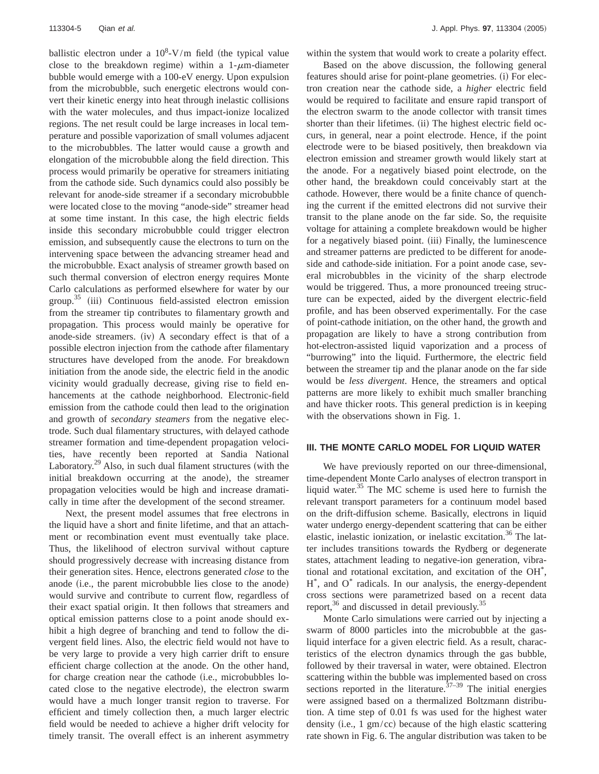ballistic electron under a  $10^8$ -V/m field (the typical value close to the breakdown regime) within a  $1-\mu$ m-diameter bubble would emerge with a 100-eV energy. Upon expulsion from the microbubble, such energetic electrons would convert their kinetic energy into heat through inelastic collisions with the water molecules, and thus impact-ionize localized regions. The net result could be large increases in local temperature and possible vaporization of small volumes adjacent to the microbubbles. The latter would cause a growth and elongation of the microbubble along the field direction. This process would primarily be operative for streamers initiating from the cathode side. Such dynamics could also possibly be relevant for anode-side streamer if a secondary microbubble were located close to the moving "anode-side" streamer head at some time instant. In this case, the high electric fields inside this secondary microbubble could trigger electron emission, and subsequently cause the electrons to turn on the intervening space between the advancing streamer head and the microbubble. Exact analysis of streamer growth based on such thermal conversion of electron energy requires Monte Carlo calculations as performed elsewhere for water by our group.<sup>35</sup> (iii) Continuous field-assisted electron emission from the streamer tip contributes to filamentary growth and propagation. This process would mainly be operative for anode-side streamers. (iv) A secondary effect is that of a possible electron injection from the cathode after filamentary structures have developed from the anode. For breakdown initiation from the anode side, the electric field in the anodic vicinity would gradually decrease, giving rise to field enhancements at the cathode neighborhood. Electronic-field emission from the cathode could then lead to the origination and growth of *secondary steamers* from the negative electrode. Such dual filamentary structures, with delayed cathode streamer formation and time-dependent propagation velocities, have recently been reported at Sandia National Laboratory.<sup>29</sup> Also, in such dual filament structures (with the initial breakdown occurring at the anode), the streamer propagation velocities would be high and increase dramatically in time after the development of the second streamer.

Next, the present model assumes that free electrons in the liquid have a short and finite lifetime, and that an attachment or recombination event must eventually take place. Thus, the likelihood of electron survival without capture should progressively decrease with increasing distance from their generation sites. Hence, electrons generated *close* to the anode (i.e., the parent microbubble lies close to the anode) would survive and contribute to current flow, regardless of their exact spatial origin. It then follows that streamers and optical emission patterns close to a point anode should exhibit a high degree of branching and tend to follow the divergent field lines. Also, the electric field would not have to be very large to provide a very high carrier drift to ensure efficient charge collection at the anode. On the other hand, for charge creation near the cathode (i.e., microbubbles located close to the negative electrode), the electron swarm would have a much longer transit region to traverse. For efficient and timely collection then, a much larger electric field would be needed to achieve a higher drift velocity for timely transit. The overall effect is an inherent asymmetry within the system that would work to create a polarity effect.

Based on the above discussion, the following general features should arise for point-plane geometries. (i) For electron creation near the cathode side, a *higher* electric field would be required to facilitate and ensure rapid transport of the electron swarm to the anode collector with transit times shorter than their lifetimes. (ii) The highest electric field occurs, in general, near a point electrode. Hence, if the point electrode were to be biased positively, then breakdown via electron emission and streamer growth would likely start at the anode. For a negatively biased point electrode, on the other hand, the breakdown could conceivably start at the cathode. However, there would be a finite chance of quenching the current if the emitted electrons did not survive their transit to the plane anode on the far side. So, the requisite voltage for attaining a complete breakdown would be higher for a negatively biased point. (iii) Finally, the luminescence and streamer patterns are predicted to be different for anodeside and cathode-side initiation. For a point anode case, several microbubbles in the vicinity of the sharp electrode would be triggered. Thus, a more pronounced treeing structure can be expected, aided by the divergent electric-field profile, and has been observed experimentally. For the case of point-cathode initiation, on the other hand, the growth and propagation are likely to have a strong contribution from hot-electron-assisted liquid vaporization and a process of "burrowing" into the liquid. Furthermore, the electric field between the streamer tip and the planar anode on the far side would be *less divergent*. Hence, the streamers and optical patterns are more likely to exhibit much smaller branching and have thicker roots. This general prediction is in keeping with the observations shown in Fig. 1.

#### **III. THE MONTE CARLO MODEL FOR LIQUID WATER**

We have previously reported on our three-dimensional, time-dependent Monte Carlo analyses of electron transport in liquid water. $35$  The MC scheme is used here to furnish the relevant transport parameters for a continuum model based on the drift-diffusion scheme. Basically, electrons in liquid water undergo energy-dependent scattering that can be either elastic, inelastic ionization, or inelastic excitation.<sup>36</sup> The latter includes transitions towards the Rydberg or degenerate states, attachment leading to negative-ion generation, vibrational and rotational excitation, and excitation of the OH\* , H\* , and O\* radicals. In our analysis, the energy-dependent cross sections were parametrized based on a recent data report, $36$  and discussed in detail previously.<sup>3</sup>

Monte Carlo simulations were carried out by injecting a swarm of 8000 particles into the microbubble at the gasliquid interface for a given electric field. As a result, characteristics of the electron dynamics through the gas bubble, followed by their traversal in water, were obtained. Electron scattering within the bubble was implemented based on cross sections reported in the literature.<sup> $37-39$ </sup> The initial energies were assigned based on a thermalized Boltzmann distribution. A time step of 0.01 fs was used for the highest water density (i.e.,  $1 \text{ gm/cc}$ ) because of the high elastic scattering rate shown in Fig. 6. The angular distribution was taken to be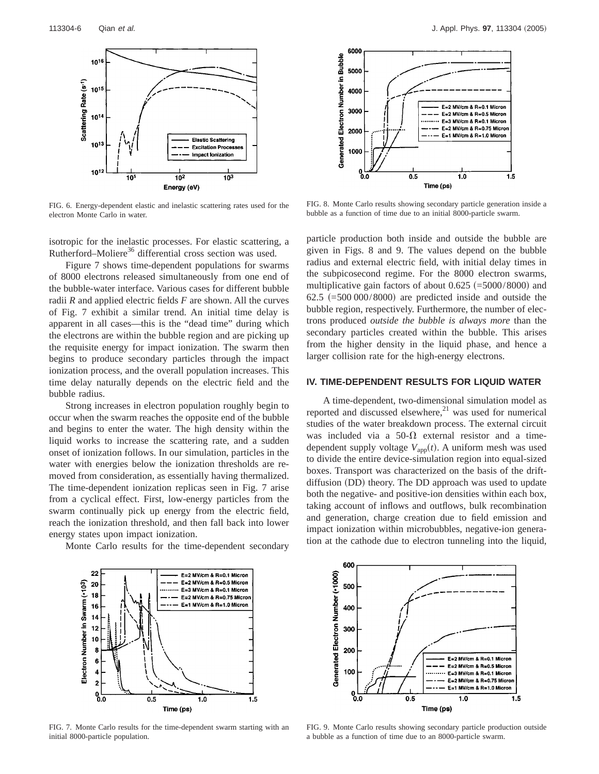

FIG. 6. Energy-dependent elastic and inelastic scattering rates used for the electron Monte Carlo in water.

isotropic for the inelastic processes. For elastic scattering, a Rutherford–Moliere<sup>36</sup> differential cross section was used.

Figure 7 shows time-dependent populations for swarms of 8000 electrons released simultaneously from one end of the bubble-water interface. Various cases for different bubble radii *R* and applied electric fields *F* are shown. All the curves of Fig. 7 exhibit a similar trend. An initial time delay is apparent in all cases—this is the "dead time" during which the electrons are within the bubble region and are picking up the requisite energy for impact ionization. The swarm then begins to produce secondary particles through the impact ionization process, and the overall population increases. This time delay naturally depends on the electric field and the bubble radius.

Strong increases in electron population roughly begin to occur when the swarm reaches the opposite end of the bubble and begins to enter the water. The high density within the liquid works to increase the scattering rate, and a sudden onset of ionization follows. In our simulation, particles in the water with energies below the ionization thresholds are removed from consideration, as essentially having thermalized. The time-dependent ionization replicas seen in Fig. 7 arise from a cyclical effect. First, low-energy particles from the swarm continually pick up energy from the electric field, reach the ionization threshold, and then fall back into lower energy states upon impact ionization.

Monte Carlo results for the time-dependent secondary



FIG. 8. Monte Carlo results showing secondary particle generation inside a bubble as a function of time due to an initial 8000-particle swarm.

particle production both inside and outside the bubble are given in Figs. 8 and 9. The values depend on the bubble radius and external electric field, with initial delay times in the subpicosecond regime. For the 8000 electron swarms, multiplicative gain factors of about  $0.625$  (=5000/8000) and 62.5  $(=500\,000/8000)$  are predicted inside and outside the bubble region, respectively. Furthermore, the number of electrons produced *outside the bubble is always more* than the secondary particles created within the bubble. This arises from the higher density in the liquid phase, and hence a larger collision rate for the high-energy electrons.

#### **IV. TIME-DEPENDENT RESULTS FOR LIQUID WATER**

A time-dependent, two-dimensional simulation model as reported and discussed elsewhere, $21$  was used for numerical studies of the water breakdown process. The external circuit was included via a 50- $\Omega$  external resistor and a timedependent supply voltage  $V_{\text{ann}}(t)$ . A uniform mesh was used to divide the entire device-simulation region into equal-sized boxes. Transport was characterized on the basis of the driftdiffusion (DD) theory. The DD approach was used to update both the negative- and positive-ion densities within each box, taking account of inflows and outflows, bulk recombination and generation, charge creation due to field emission and impact ionization within microbubbles, negative-ion generation at the cathode due to electron tunneling into the liquid,



FIG. 7. Monte Carlo results for the time-dependent swarm starting with an initial 8000-particle population.



FIG. 9. Monte Carlo results showing secondary particle production outside a bubble as a function of time due to an 8000-particle swarm.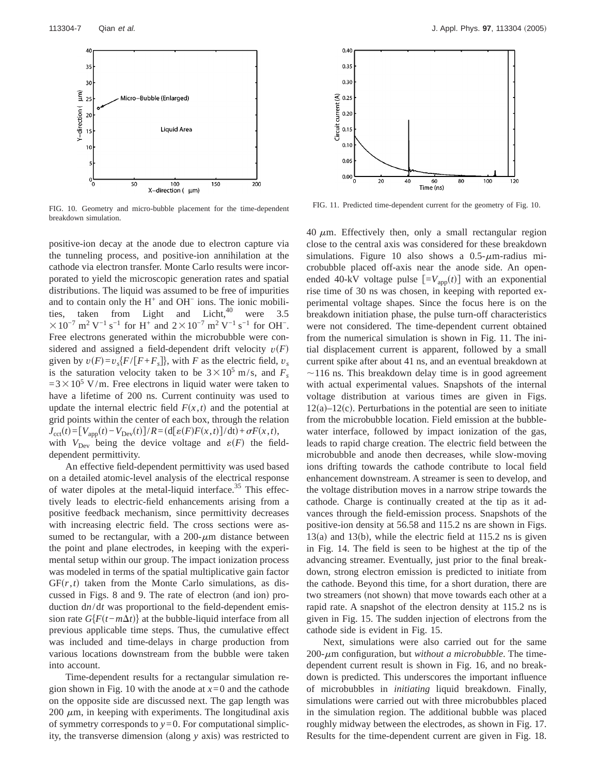

FIG. 10. Geometry and micro-bubble placement for the time-dependent breakdown simulation.

positive-ion decay at the anode due to electron capture via the tunneling process, and positive-ion annihilation at the cathode via electron transfer. Monte Carlo results were incorporated to yield the microscopic generation rates and spatial distributions. The liquid was assumed to be free of impurities and to contain only the H<sup>+</sup> and OH− ions. The ionic mobilities, taken from Light and Licht, were  $3.5$  $310^{-7}$  m<sup>2</sup> V<sup>-1</sup> s<sup>-1</sup> for H<sup>+</sup> and  $2\times10^{-7}$  m<sup>2</sup> V<sup>-1</sup> s<sup>-1</sup> for OH<sup>-</sup>. Free electrons generated within the microbubble were considered and assigned a field-dependent drift velocity  $v(F)$ given by  $v(F)=v_s\{F/[F+F_s]\}$ , with *F* as the electric field,  $v_s$ is the saturation velocity taken to be  $3 \times 10^5$  m/s, and  $F_s$  $=3\times10^5$  V/m. Free electrons in liquid water were taken to have a lifetime of 200 ns. Current continuity was used to update the internal electric field  $F(x,t)$  and the potential at grid points within the center of each box, through the relation  $J_{\text{cct}}(t) = [V_{\text{app}}(t) - V_{\text{Dev}}(t)]/R = (\text{d}[{\varepsilon}(F)F(x,t)]/\text{d}t) + \sigma F(x,t),$ with  $V_{\text{Dev}}$  being the device voltage and  $\varepsilon(F)$  the fielddependent permittivity.

An effective field-dependent permittivity was used based on a detailed atomic-level analysis of the electrical response of water dipoles at the metal-liquid interface.<sup>35</sup> This effectively leads to electric-field enhancements arising from a positive feedback mechanism, since permittivity decreases with increasing electric field. The cross sections were assumed to be rectangular, with a  $200-\mu m$  distance between the point and plane electrodes, in keeping with the experimental setup within our group. The impact ionization process was modeled in terms of the spatial multiplicative gain factor  $GF(r, t)$  taken from the Monte Carlo simulations, as discussed in Figs. 8 and 9. The rate of electron (and ion) production d*n*/d*t* was proportional to the field-dependent emission rate  $G{F(t-m\Delta t)}$  at the bubble-liquid interface from all previous applicable time steps. Thus, the cumulative effect was included and time-delays in charge production from various locations downstream from the bubble were taken into account.

Time-dependent results for a rectangular simulation region shown in Fig. 10 with the anode at  $x=0$  and the cathode on the opposite side are discussed next. The gap length was 200  $\mu$ m, in keeping with experiments. The longitudinal axis of symmetry corresponds to  $y=0$ . For computational simplicity, the transverse dimension (along *y* axis) was restricted to



FIG. 11. Predicted time-dependent current for the geometry of Fig. 10.

40  $\mu$ m. Effectively then, only a small rectangular region close to the central axis was considered for these breakdown simulations. Figure 10 also shows a  $0.5-\mu$ m-radius microbubble placed off-axis near the anode side. An openended 40-kV voltage pulse  $[-V_{\text{app}}(t)]$  with an exponential rise time of 30 ns was chosen, in keeping with reported experimental voltage shapes. Since the focus here is on the breakdown initiation phase, the pulse turn-off characteristics were not considered. The time-dependent current obtained from the numerical simulation is shown in Fig. 11. The initial displacement current is apparent, followed by a small current spike after about 41 ns, and an eventual breakdown at  $\sim$ 116 ns. This breakdown delay time is in good agreement with actual experimental values. Snapshots of the internal voltage distribution at various times are given in Figs.  $12(a)-12(c)$ . Perturbations in the potential are seen to initiate from the microbubble location. Field emission at the bubblewater interface, followed by impact ionization of the gas, leads to rapid charge creation. The electric field between the microbubble and anode then decreases, while slow-moving ions drifting towards the cathode contribute to local field enhancement downstream. A streamer is seen to develop, and the voltage distribution moves in a narrow stripe towards the cathode. Charge is continually created at the tip as it advances through the field-emission process. Snapshots of the positive-ion density at 56.58 and 115.2 ns are shown in Figs.  $13(a)$  and  $13(b)$ , while the electric field at  $115.2$  ns is given in Fig. 14. The field is seen to be highest at the tip of the advancing streamer. Eventually, just prior to the final breakdown, strong electron emission is predicted to initiate from the cathode. Beyond this time, for a short duration, there are two streamers (not shown) that move towards each other at a rapid rate. A snapshot of the electron density at 115.2 ns is given in Fig. 15. The sudden injection of electrons from the cathode side is evident in Fig. 15.

Next, simulations were also carried out for the same  $200$ - $\mu$ m configuration, but *without a microbubble*. The timedependent current result is shown in Fig. 16, and no breakdown is predicted. This underscores the important influence of microbubbles in *initiating* liquid breakdown. Finally, simulations were carried out with three microbubbles placed in the simulation region. The additional bubble was placed roughly midway between the electrodes, as shown in Fig. 17. Results for the time-dependent current are given in Fig. 18.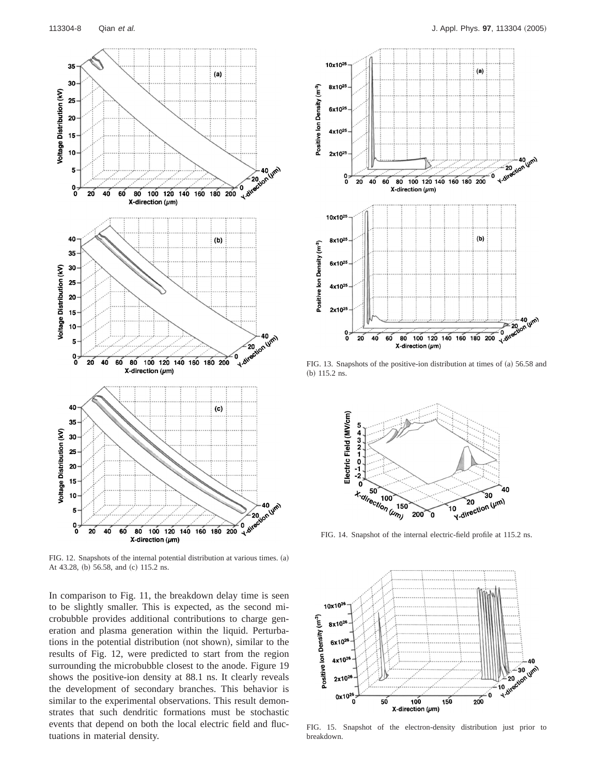

FIG. 12. Snapshots of the internal potential distribution at various times. (a) At 43.28, (b) 56.58, and (c) 115.2 ns.

In comparison to Fig. 11, the breakdown delay time is seen to be slightly smaller. This is expected, as the second microbubble provides additional contributions to charge generation and plasma generation within the liquid. Perturbations in the potential distribution (not shown), similar to the results of Fig. 12, were predicted to start from the region surrounding the microbubble closest to the anode. Figure 19 shows the positive-ion density at 88.1 ns. It clearly reveals the development of secondary branches. This behavior is similar to the experimental observations. This result demonstrates that such dendritic formations must be stochastic events that depend on both the local electric field and fluctuations in material density.



FIG. 13. Snapshots of the positive-ion distribution at times of (a) 56.58 and (b)  $115.2$  ns.



FIG. 14. Snapshot of the internal electric-field profile at 115.2 ns.



FIG. 15. Snapshot of the electron-density distribution just prior to breakdown.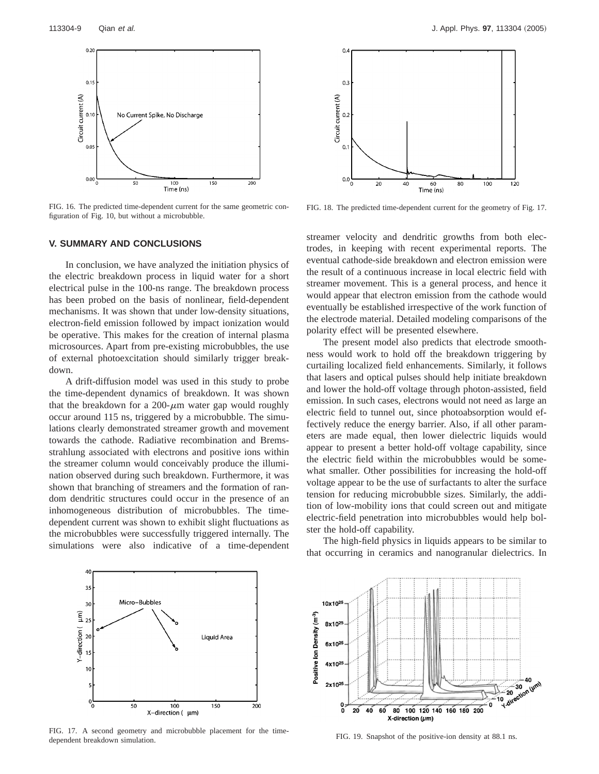

FIG. 16. The predicted time-dependent current for the same geometric configuration of Fig. 10, but without a microbubble.



In conclusion, we have analyzed the initiation physics of the electric breakdown process in liquid water for a short electrical pulse in the 100-ns range. The breakdown process has been probed on the basis of nonlinear, field-dependent mechanisms. It was shown that under low-density situations, electron-field emission followed by impact ionization would be operative. This makes for the creation of internal plasma microsources. Apart from pre-existing microbubbles, the use of external photoexcitation should similarly trigger breakdown.

A drift-diffusion model was used in this study to probe the time-dependent dynamics of breakdown. It was shown that the breakdown for a 200- $\mu$ m water gap would roughly occur around 115 ns, triggered by a microbubble. The simulations clearly demonstrated streamer growth and movement towards the cathode. Radiative recombination and Bremsstrahlung associated with electrons and positive ions within the streamer column would conceivably produce the illumination observed during such breakdown. Furthermore, it was shown that branching of streamers and the formation of random dendritic structures could occur in the presence of an inhomogeneous distribution of microbubbles. The timedependent current was shown to exhibit slight fluctuations as the microbubbles were successfully triggered internally. The simulations were also indicative of a time-dependent



FIG. 18. The predicted time-dependent current for the geometry of Fig. 17.

Time (ns)

streamer velocity and dendritic growths from both electrodes, in keeping with recent experimental reports. The eventual cathode-side breakdown and electron emission were the result of a continuous increase in local electric field with streamer movement. This is a general process, and hence it would appear that electron emission from the cathode would eventually be established irrespective of the work function of the electrode material. Detailed modeling comparisons of the polarity effect will be presented elsewhere.

The present model also predicts that electrode smoothness would work to hold off the breakdown triggering by curtailing localized field enhancements. Similarly, it follows that lasers and optical pulses should help initiate breakdown and lower the hold-off voltage through photon-assisted, field emission. In such cases, electrons would not need as large an electric field to tunnel out, since photoabsorption would effectively reduce the energy barrier. Also, if all other parameters are made equal, then lower dielectric liquids would appear to present a better hold-off voltage capability, since the electric field within the microbubbles would be somewhat smaller. Other possibilities for increasing the hold-off voltage appear to be the use of surfactants to alter the surface tension for reducing microbubble sizes. Similarly, the addition of low-mobility ions that could screen out and mitigate electric-field penetration into microbubbles would help bolster the hold-off capability.

The high-field physics in liquids appears to be similar to that occurring in ceramics and nanogranular dielectrics. In



FIG. 17. A second geometry and microbubble placement for the timedependent breakdown simulation.



FIG. 19. Snapshot of the positive-ion density at 88.1 ns.